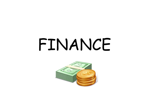# FINANCE

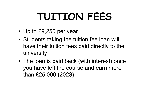# TUITION FEES **TUITION FI**<br>• Up to £9,250 per year<br>• Students taking the tuition fear

- 
- **TUITION FEES**<br>• Up to £9,250 per year<br>• Students taking the tuition fee loan will<br>have their tuition fees paid directly to the have their tuition fees paid directly to the university • Up to £9,250 per year<br>• Students taking the tuition fee loan will<br>have their tuition fees paid directly to the<br>university<br>• The loan is paid back (with interest) once<br>you have left the course and earn more<br>than 635,000,0
- you have left the course and earn more than £25,000 (2023)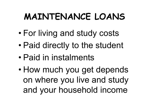# MAINTENANCE LOANS MAINTENANCE LOANS<br>• For living and study costs<br>• Paid directly to the student **MAINTENANCE LOANS**<br>• For living and study costs<br>• Paid directly to the student<br>• Paid in instalments

- 
- **MAINTENANCE LOAN**<br>• For living and study costs<br>• Paid in instalments<br>• How much you get denen • For living and study costs<br>• Paid directly to the student<br>• Paid in instalments<br>• How much you get depends
- 
- on where you live and study and your household income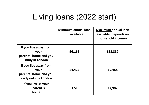### Living loans (2022 start)

|                                                                                | Minimum annual loan<br>available | <b>Maximum annual loan</b><br>available (depends on<br>household income) |
|--------------------------------------------------------------------------------|----------------------------------|--------------------------------------------------------------------------|
| If you live away from<br>your<br>parents' home and you<br>study in London      | £6,166                           | £12,382                                                                  |
| If you live away from<br>your<br>parents' home and you<br>study outside London | £4,422                           | £9,488                                                                   |
| If you live at your<br>parent's<br>home                                        | £3,516                           | £7,987                                                                   |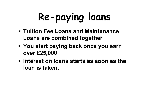# Re-paying loans

- Tuition Fee Loans and Maintenance Loans are combined together
- You start paying back once you earn over £25,000
- Interest on loans starts as soon as the loan is taken.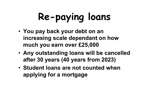# Re-paying loans

- You pay back your debt on an increasing scale dependant on how much you earn over £25,000
- Any outstanding loans will be cancelled after 30 years (40 years from 2023)
- Student loans are not counted when applying for a mortgage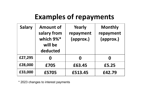### Examples of repayments

| <b>Salary</b> | <b>Amount of</b><br>salary from<br>which 9%*<br>will be<br>deducted | Yearly<br>repayment<br>(approx.) | <b>Monthly</b><br>repayment<br>(approx.) |
|---------------|---------------------------------------------------------------------|----------------------------------|------------------------------------------|
| £27,295       | $\boldsymbol{0}$                                                    | Ω                                | $\boldsymbol{0}$                         |
| £28,000       | £705                                                                | £63.45                           | £5.25                                    |
| £33,000       | £5705                                                               | £513.45                          | £42.79                                   |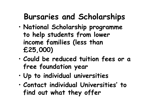## Bursaries and Scholarships

- National Scholarship programme to help students from lower income families (less than £25,000)
- Could be reduced tuition fees or a free foundation year
- Up to individual universities
- Contact individual Universities' to find out what they offer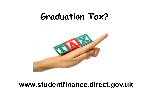## Graduation Tax?



#### www.studentfinance.direct.gov.uk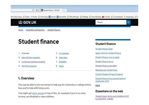

Home > Education and learning > Student finance

#### **Student finance**

- 1. Overview
- 2. New full-time students
- 3. Continuing full-time students
- 4. Part-time students

#### 5. EU students

- 6. Extra help
- 7. Eligibility
- 8. Apply

#### 1. Overview

You may be able to borrow money to help pay for university or college tuition fees and to help with living costs.

You might get extra money on top of this, for example if you're on a low income, are disabled or have children.

#### **Student finance**

Student finance login Apply online for student finance Student finance: how to apply Student finance forms Student finance calculator Repaving your student loan **Contact Student Finance England** Student finance if you started before 1 September 2012

#### More

#### Elsewhere on the web

Student loans: terms and conditions 2017 to 2018 (PDF, 136KB)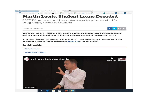$\frac{1}{2}$  media.slc.co.uk  $\frac{1}{2}$  Martin Lewis: Student Loan...  $\times$   $\blacklozenge$  WSP and the second second second second second second second second second second second second second second second second second second second second second second second second second second second second second second seco FSM T Blackfen Video Library U Competencies - Applicati... 2 Cover Requests 2 Eclipse >> Fronter 2 Google Apps 1 Home Page 24 Intranet 2 Intranet 0 **Martin Lewis: Student Loans Decoded** FREE TV programme and lesson plan demystifying the cost of uni for young people, parents and teachers  $|{\bf y}|$   $\oplus$   $|{\bf z}|$ Updated 26 February 2020  $\epsilon$ Martin Lewis: Student Loans Decoded is a groundbreaking, no-nonsense, authoritative video guide to student finance and the real impact of higher education on both students' and parents' pockets. It's designed to be watched at home, or it can be played copyright-free in a school lesson too. Plus to help teachers, there's a Quality Mark-assured lesson plan to use alongside it. In this quide . Watch the video · Resources for teachers B **MSE** Martin Lewis: Student Loans Decoded **Watch later** 

e

**MORE VIDEOS** 

軍

e

**FB**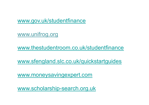www.gov.uk/studentfinance

www.unifrog.org

www.thestudentroom.co.uk/studentfinance

www.sfengland.slc.co.uk/quickstartguides

www.moneysavingexpert.com

www.scholarship-search.org.uk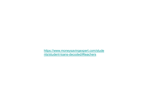https://www.moneysavingexpert.com/stude nts/student-loans-decoded/#teachers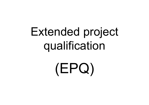## Extended project qualification

(EPQ)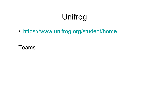### Unifrog

• https://www.unifrog.org/student/home

Teams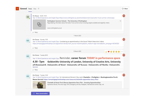| KB            | Kim Brewer 02/03, 15:52                                                                                                | Year 12 Work Experience and Insight Days https://www.nottingham.ac.uk/schoolsliaison/services/sutton-trust-summer-school.aspx                                                                                                             |  |  |  |
|---------------|------------------------------------------------------------------------------------------------------------------------|-------------------------------------------------------------------------------------------------------------------------------------------------------------------------------------------------------------------------------------------|--|--|--|
|               | ιρ.                                                                                                                    | $\times$<br>Nottingham Summer Schools - The University of Nottingham<br>Page detailing information about the Sutton Trust summer school including subjects available and eligibility criteria.<br>www.nottingham.ac.uk                    |  |  |  |
|               | $\leftrightarrow$ Reply                                                                                                |                                                                                                                                                                                                                                           |  |  |  |
|               |                                                                                                                        | 7 March 2022                                                                                                                                                                                                                              |  |  |  |
| KD<br>$\circ$ | Kim Drewer Monday 13:03                                                                                                | Year 12 Work Experience and Insight Days Considering an apprenticeship in the future? Watch these short videos<br>https://amazingapprenticeships.com/apprentice-stories/?utm_source=mailchimp&utm_medium=app+stories&utm_campaign=NCW2022 |  |  |  |
|               | $\swarrow$ Reply                                                                                                       |                                                                                                                                                                                                                                           |  |  |  |
|               |                                                                                                                        | 8 March 2022                                                                                                                                                                                                                              |  |  |  |
| KD<br>$\circ$ | Kim Drewer Tuesday 08:53<br>Year 12 Work Experience and Insight Days Reminder, career forum TODAY in performance space |                                                                                                                                                                                                                                           |  |  |  |
|               | $4.30 - 7pm$<br>See more<br>$\swarrow$ Reply                                                                           | Goldsmiths-University of London, University of Creative Arts, University<br>of Greenwich University of Kent University of Sussex University of Derby University                                                                           |  |  |  |
|               |                                                                                                                        |                                                                                                                                                                                                                                           |  |  |  |
|               |                                                                                                                        |                                                                                                                                                                                                                                           |  |  |  |
| KD<br>$\odot$ | Kim Drewer Tuesday 10:44                                                                                               | Year 12 Work Experience and Insight Days for international Women's Day watch Chantelle, a Firefighter at Buckinghamshire Fire &<br>Rescue Service! https://amazingapprenticeships.com/resource/chantelle-apprentice-story-film/           |  |  |  |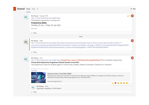